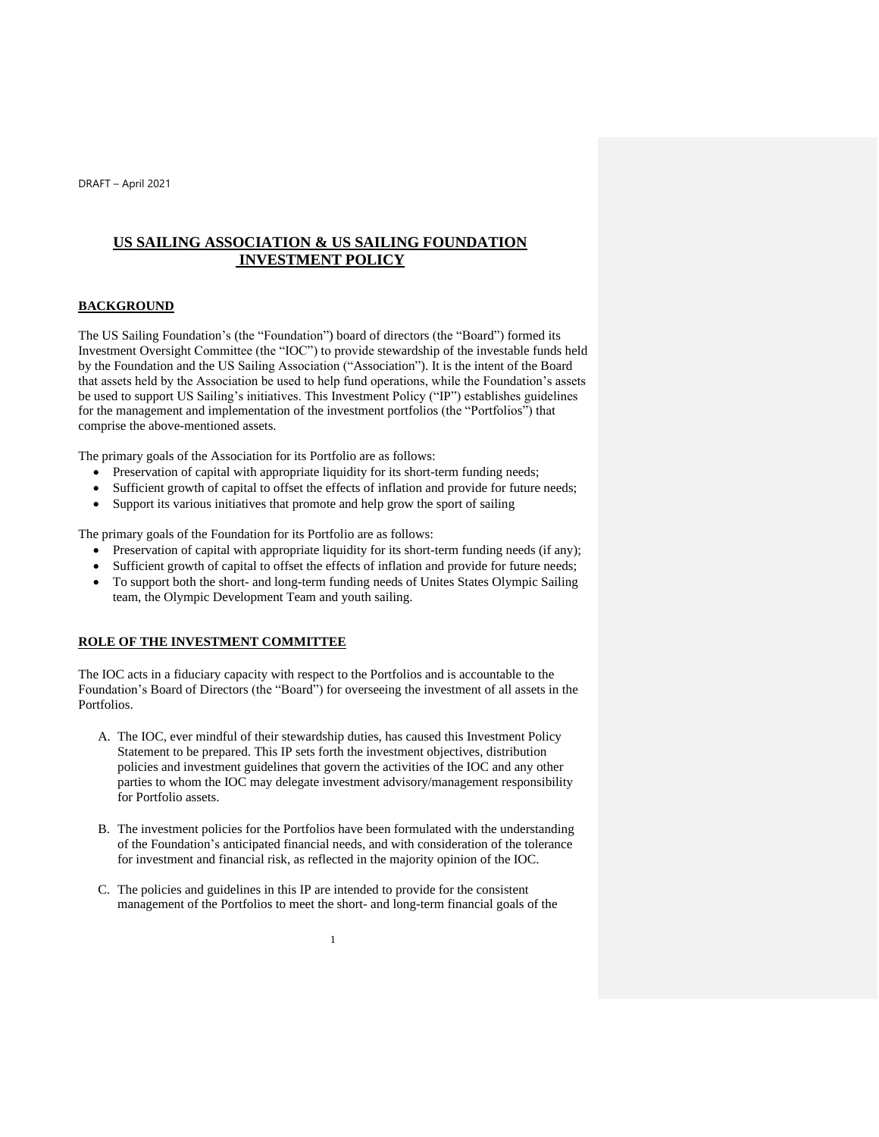# **US SAILING ASSOCIATION & US SAILING FOUNDATION INVESTMENT POLICY**

#### **BACKGROUND**

The US Sailing Foundation's (the "Foundation") board of directors (the "Board") formed its Investment Oversight Committee (the "IOC") to provide stewardship of the investable funds held by the Foundation and the US Sailing Association ("Association"). It is the intent of the Board that assets held by the Association be used to help fund operations, while the Foundation's assets be used to support US Sailing's initiatives. This Investment Policy ("IP") establishes guidelines for the management and implementation of the investment portfolios (the "Portfolios") that comprise the above-mentioned assets.

The primary goals of the Association for its Portfolio are as follows:

- Preservation of capital with appropriate liquidity for its short-term funding needs;
- Sufficient growth of capital to offset the effects of inflation and provide for future needs;
- Support its various initiatives that promote and help grow the sport of sailing

The primary goals of the Foundation for its Portfolio are as follows:

- Preservation of capital with appropriate liquidity for its short-term funding needs (if any);
- Sufficient growth of capital to offset the effects of inflation and provide for future needs;
- To support both the short- and long-term funding needs of Unites States Olympic Sailing team, the Olympic Development Team and youth sailing.

#### **ROLE OF THE INVESTMENT COMMITTEE**

The IOC acts in a fiduciary capacity with respect to the Portfolios and is accountable to the Foundation's Board of Directors (the "Board") for overseeing the investment of all assets in the Portfolios.

- A. The IOC, ever mindful of their stewardship duties, has caused this Investment Policy Statement to be prepared. This IP sets forth the investment objectives, distribution policies and investment guidelines that govern the activities of the IOC and any other parties to whom the IOC may delegate investment advisory/management responsibility for Portfolio assets.
- B. The investment policies for the Portfolios have been formulated with the understanding of the Foundation's anticipated financial needs, and with consideration of the tolerance for investment and financial risk, as reflected in the majority opinion of the IOC.
- C. The policies and guidelines in this IP are intended to provide for the consistent management of the Portfolios to meet the short- and long-term financial goals of the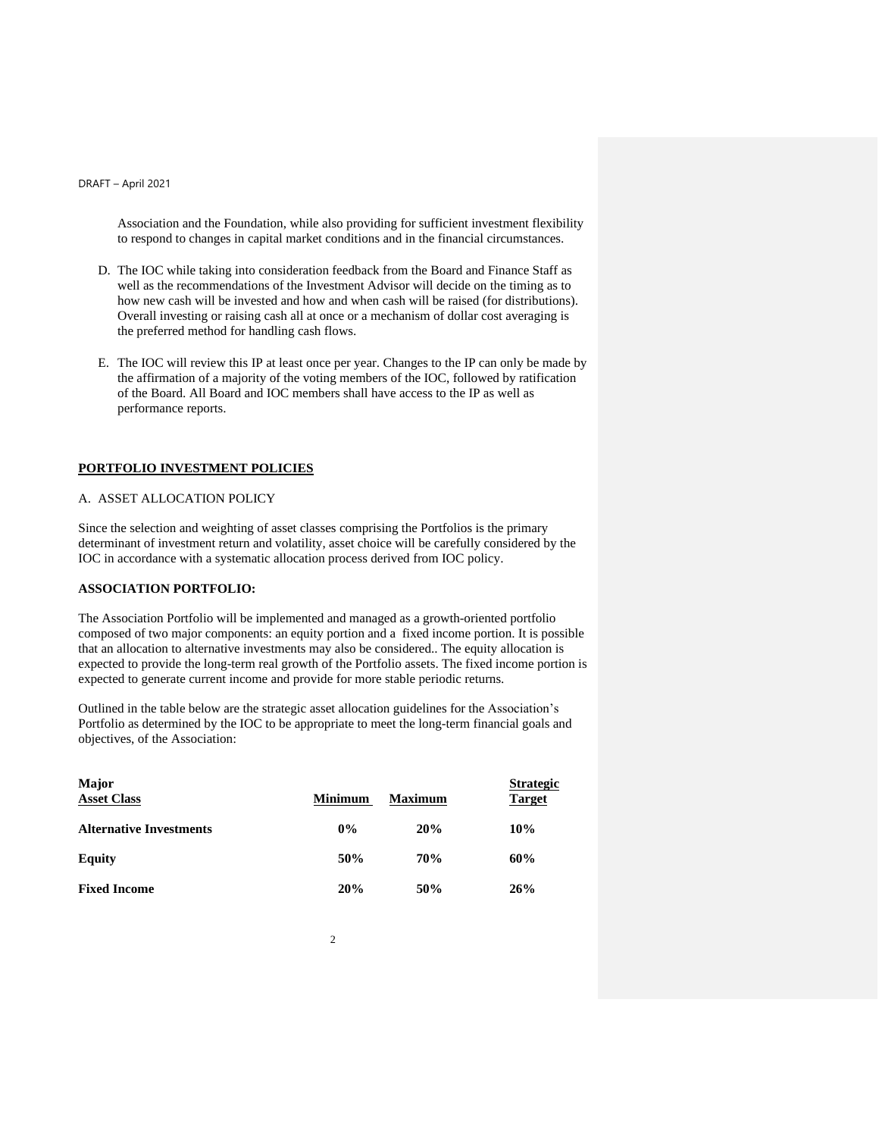Association and the Foundation, while also providing for sufficient investment flexibility to respond to changes in capital market conditions and in the financial circumstances.

- D. The IOC while taking into consideration feedback from the Board and Finance Staff as well as the recommendations of the Investment Advisor will decide on the timing as to how new cash will be invested and how and when cash will be raised (for distributions). Overall investing or raising cash all at once or a mechanism of dollar cost averaging is the preferred method for handling cash flows.
- E. The IOC will review this IP at least once per year. Changes to the IP can only be made by the affirmation of a majority of the voting members of the IOC, followed by ratification of the Board. All Board and IOC members shall have access to the IP as well as performance reports.

#### **PORTFOLIO INVESTMENT POLICIES**

#### A. ASSET ALLOCATION POLICY

Since the selection and weighting of asset classes comprising the Portfolios is the primary determinant of investment return and volatility, asset choice will be carefully considered by the IOC in accordance with a systematic allocation process derived from IOC policy.

## **ASSOCIATION PORTFOLIO:**

The Association Portfolio will be implemented and managed as a growth-oriented portfolio composed of two major components: an equity portion and a fixed income portion. It is possible that an allocation to alternative investments may also be considered.. The equity allocation is expected to provide the long-term real growth of the Portfolio assets. The fixed income portion is expected to generate current income and provide for more stable periodic returns.

Outlined in the table below are the strategic asset allocation guidelines for the Association's Portfolio as determined by the IOC to be appropriate to meet the long-term financial goals and objectives, of the Association:

| Major<br><b>Asset Class</b>    | <b>Minimum</b> | <b>Maximum</b> | <b>Strategic</b><br><b>Target</b> |
|--------------------------------|----------------|----------------|-----------------------------------|
| <b>Alternative Investments</b> | $0\%$          | 20%            | 10%                               |
| <b>Equity</b>                  | 50%            | 70%            | 60%                               |
| <b>Fixed Income</b>            | 20%            | 50%            | 26%                               |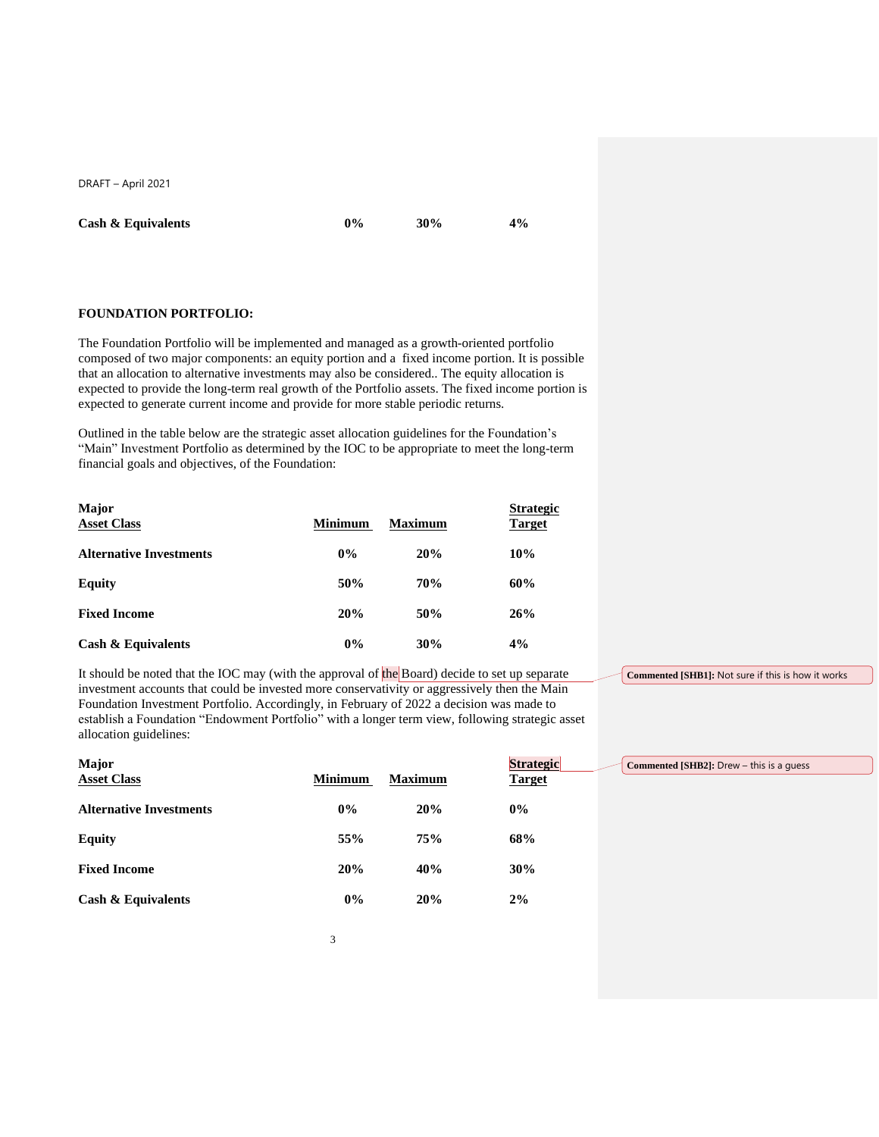**Cash & Equivalents 0% 30% 4%**

### **FOUNDATION PORTFOLIO:**

The Foundation Portfolio will be implemented and managed as a growth-oriented portfolio composed of two major components: an equity portion and a fixed income portion. It is possible that an allocation to alternative investments may also be considered.. The equity allocation is expected to provide the long-term real growth of the Portfolio assets. The fixed income portion is expected to generate current income and provide for more stable periodic returns.

Outlined in the table below are the strategic asset allocation guidelines for the Foundation's "Main" Investment Portfolio as determined by the IOC to be appropriate to meet the long-term financial goals and objectives, of the Foundation:

| <b>Major</b><br><b>Asset Class</b> | <b>Minimum</b> | <b>Maximum</b> | <b>Strategic</b><br><b>Target</b> |
|------------------------------------|----------------|----------------|-----------------------------------|
| <b>Alternative Investments</b>     | $0\%$          | 20%            | 10%                               |
| <b>Equity</b>                      | 50%            | <b>70%</b>     | 60%                               |
| <b>Fixed Income</b>                | 20%            | 50%            | 26%                               |
| <b>Cash &amp; Equivalents</b>      | 0%             | 30%            | 4%                                |

It should be noted that the IOC may (with the approval of the Board) decide to set up separate investment accounts that could be invested more conservativity or aggressively then the Main Foundation Investment Portfolio. Accordingly, in February of 2022 a decision was made to establish a Foundation "Endowment Portfolio" with a longer term view, following strategic asset allocation guidelines:

**Major Strategic Asset Class Minimum Maximum Alternative Investments 0% 20% 0% Equity 55% 75% 68% Fixed Income 20% 40% 30% Cash & Equivalents 0% 20% 2% Commented [SHB2]:** Drew – this is a guess

**Commented [SHB1]:** Not sure if this is how it works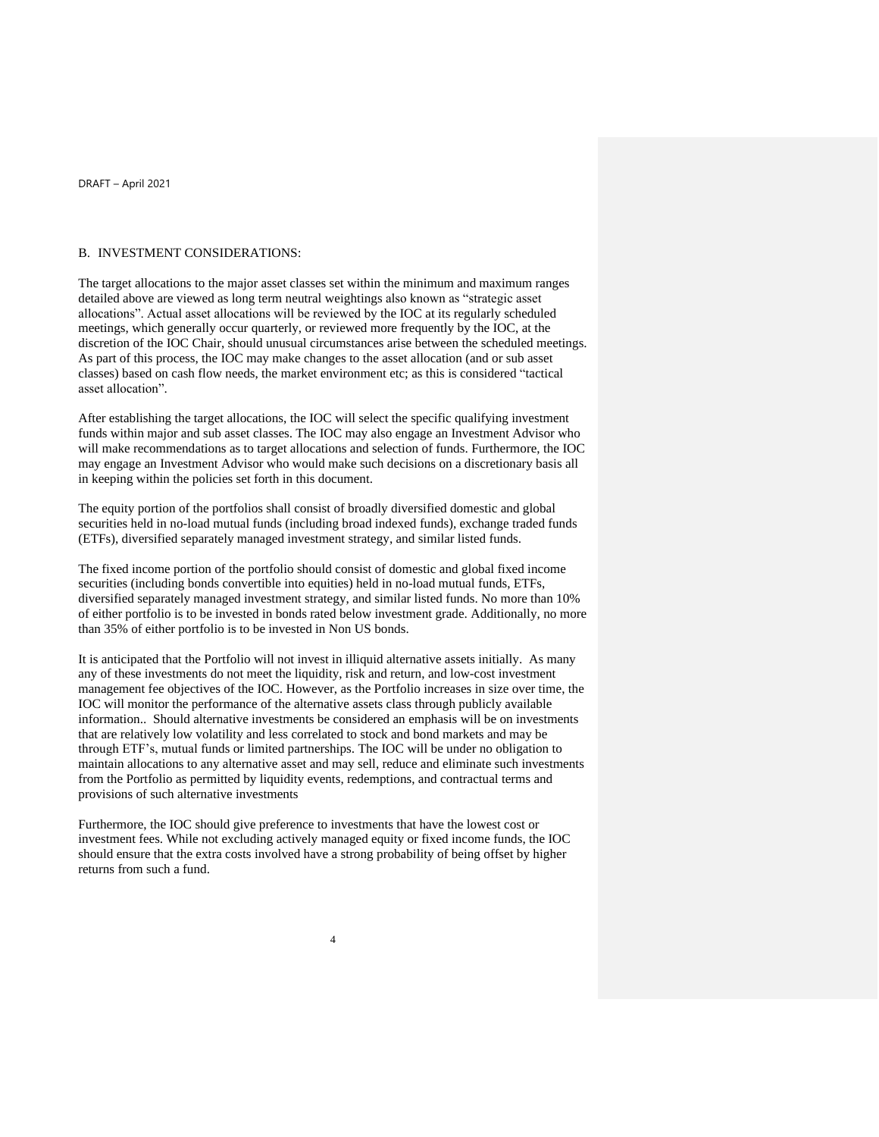#### B. INVESTMENT CONSIDERATIONS:

The target allocations to the major asset classes set within the minimum and maximum ranges detailed above are viewed as long term neutral weightings also known as "strategic asset allocations". Actual asset allocations will be reviewed by the IOC at its regularly scheduled meetings, which generally occur quarterly, or reviewed more frequently by the IOC, at the discretion of the IOC Chair, should unusual circumstances arise between the scheduled meetings. As part of this process, the IOC may make changes to the asset allocation (and or sub asset classes) based on cash flow needs, the market environment etc; as this is considered "tactical asset allocation".

After establishing the target allocations, the IOC will select the specific qualifying investment funds within major and sub asset classes. The IOC may also engage an Investment Advisor who will make recommendations as to target allocations and selection of funds. Furthermore, the IOC may engage an Investment Advisor who would make such decisions on a discretionary basis all in keeping within the policies set forth in this document.

The equity portion of the portfolios shall consist of broadly diversified domestic and global securities held in no-load mutual funds (including broad indexed funds), exchange traded funds (ETFs), diversified separately managed investment strategy, and similar listed funds.

The fixed income portion of the portfolio should consist of domestic and global fixed income securities (including bonds convertible into equities) held in no-load mutual funds, ETFs, diversified separately managed investment strategy, and similar listed funds. No more than 10% of either portfolio is to be invested in bonds rated below investment grade. Additionally, no more than 35% of either portfolio is to be invested in Non US bonds.

It is anticipated that the Portfolio will not invest in illiquid alternative assets initially. As many any of these investments do not meet the liquidity, risk and return, and low-cost investment management fee objectives of the IOC. However, as the Portfolio increases in size over time, the IOC will monitor the performance of the alternative assets class through publicly available information.. Should alternative investments be considered an emphasis will be on investments that are relatively low volatility and less correlated to stock and bond markets and may be through ETF's, mutual funds or limited partnerships. The IOC will be under no obligation to maintain allocations to any alternative asset and may sell, reduce and eliminate such investments from the Portfolio as permitted by liquidity events, redemptions, and contractual terms and provisions of such alternative investments

Furthermore, the IOC should give preference to investments that have the lowest cost or investment fees. While not excluding actively managed equity or fixed income funds, the IOC should ensure that the extra costs involved have a strong probability of being offset by higher returns from such a fund.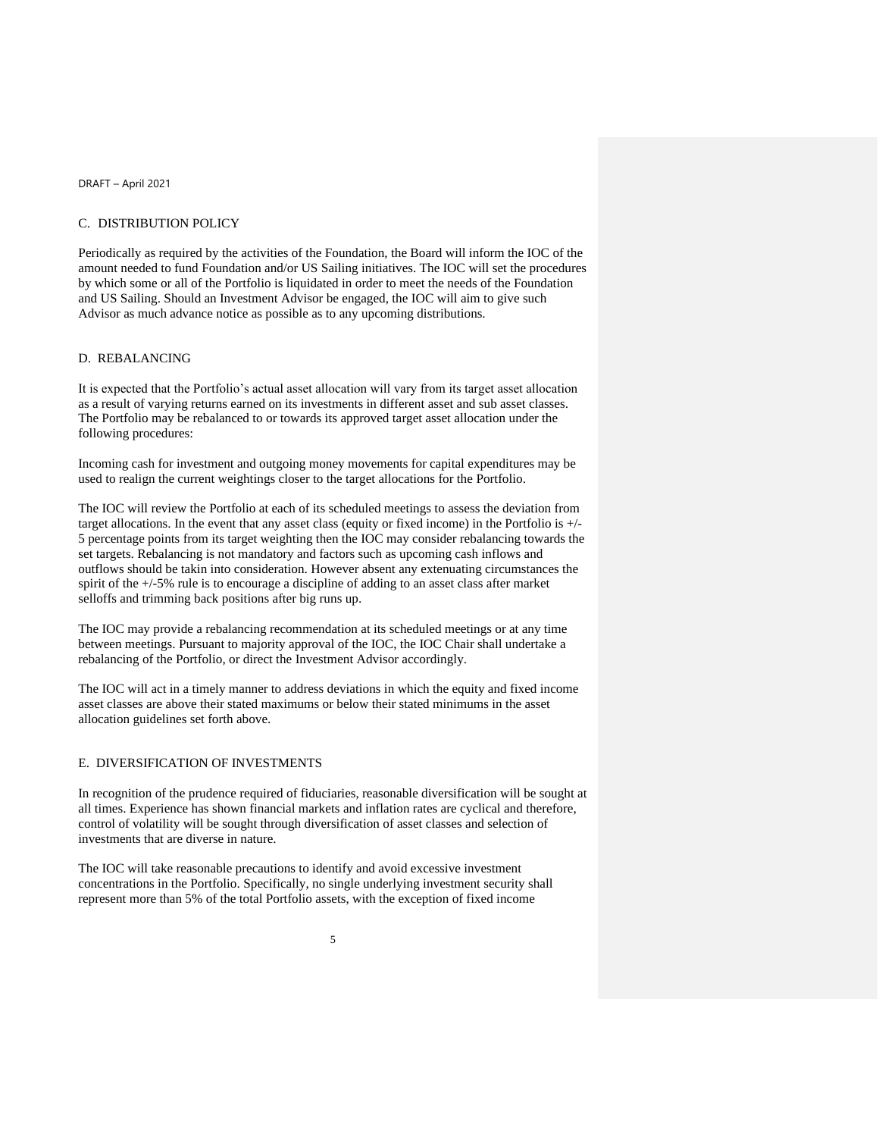#### C. DISTRIBUTION POLICY

Periodically as required by the activities of the Foundation, the Board will inform the IOC of the amount needed to fund Foundation and/or US Sailing initiatives. The IOC will set the procedures by which some or all of the Portfolio is liquidated in order to meet the needs of the Foundation and US Sailing. Should an Investment Advisor be engaged, the IOC will aim to give such Advisor as much advance notice as possible as to any upcoming distributions.

#### D. REBALANCING

It is expected that the Portfolio's actual asset allocation will vary from its target asset allocation as a result of varying returns earned on its investments in different asset and sub asset classes. The Portfolio may be rebalanced to or towards its approved target asset allocation under the following procedures:

Incoming cash for investment and outgoing money movements for capital expenditures may be used to realign the current weightings closer to the target allocations for the Portfolio.

The IOC will review the Portfolio at each of its scheduled meetings to assess the deviation from target allocations. In the event that any asset class (equity or fixed income) in the Portfolio is +/- 5 percentage points from its target weighting then the IOC may consider rebalancing towards the set targets. Rebalancing is not mandatory and factors such as upcoming cash inflows and outflows should be takin into consideration. However absent any extenuating circumstances the spirit of the +/-5% rule is to encourage a discipline of adding to an asset class after market selloffs and trimming back positions after big runs up.

The IOC may provide a rebalancing recommendation at its scheduled meetings or at any time between meetings. Pursuant to majority approval of the IOC, the IOC Chair shall undertake a rebalancing of the Portfolio, or direct the Investment Advisor accordingly.

The IOC will act in a timely manner to address deviations in which the equity and fixed income asset classes are above their stated maximums or below their stated minimums in the asset allocation guidelines set forth above.

#### E. DIVERSIFICATION OF INVESTMENTS

In recognition of the prudence required of fiduciaries, reasonable diversification will be sought at all times. Experience has shown financial markets and inflation rates are cyclical and therefore, control of volatility will be sought through diversification of asset classes and selection of investments that are diverse in nature.

The IOC will take reasonable precautions to identify and avoid excessive investment concentrations in the Portfolio. Specifically, no single underlying investment security shall represent more than 5% of the total Portfolio assets, with the exception of fixed income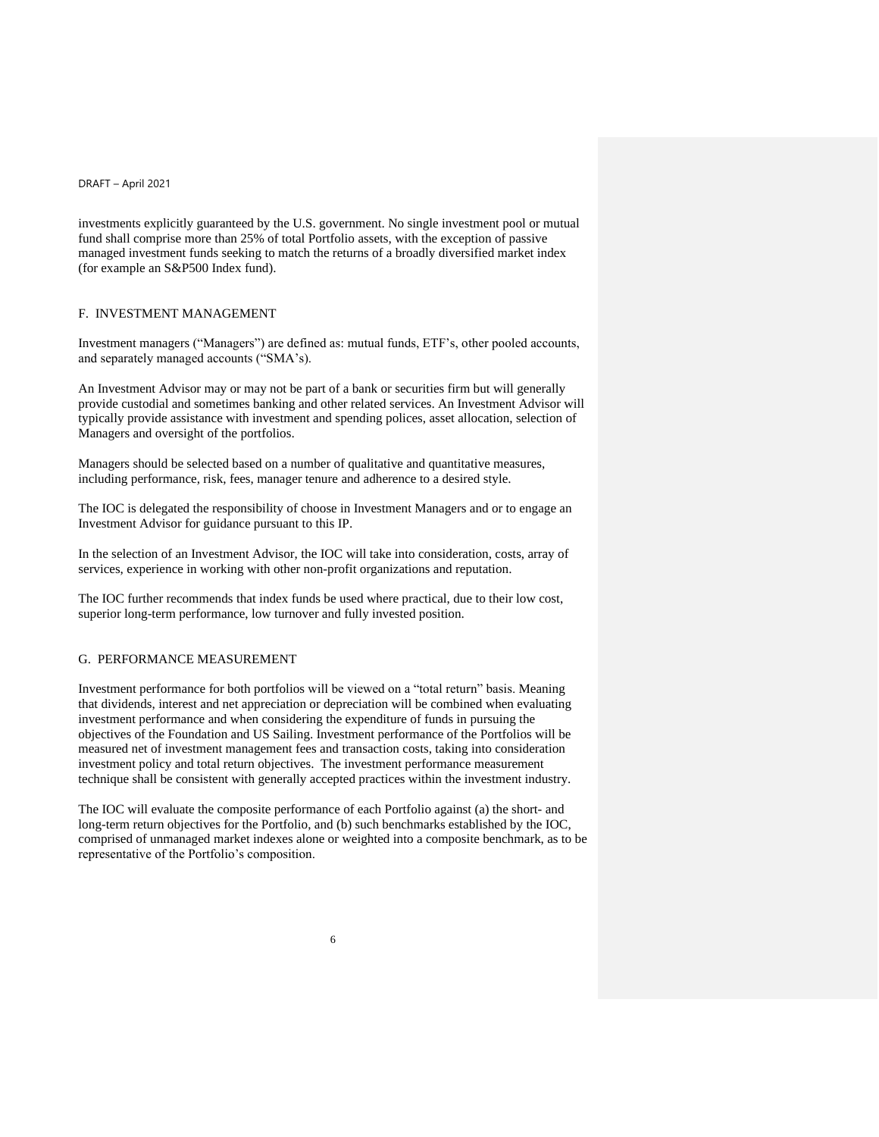investments explicitly guaranteed by the U.S. government. No single investment pool or mutual fund shall comprise more than 25% of total Portfolio assets, with the exception of passive managed investment funds seeking to match the returns of a broadly diversified market index (for example an S&P500 Index fund).

### F. INVESTMENT MANAGEMENT

Investment managers ("Managers") are defined as: mutual funds, ETF's, other pooled accounts, and separately managed accounts ("SMA's).

An Investment Advisor may or may not be part of a bank or securities firm but will generally provide custodial and sometimes banking and other related services. An Investment Advisor will typically provide assistance with investment and spending polices, asset allocation, selection of Managers and oversight of the portfolios.

Managers should be selected based on a number of qualitative and quantitative measures, including performance, risk, fees, manager tenure and adherence to a desired style.

The IOC is delegated the responsibility of choose in Investment Managers and or to engage an Investment Advisor for guidance pursuant to this IP.

In the selection of an Investment Advisor, the IOC will take into consideration, costs, array of services, experience in working with other non-profit organizations and reputation.

The IOC further recommends that index funds be used where practical, due to their low cost, superior long-term performance, low turnover and fully invested position.

#### G. PERFORMANCE MEASUREMENT

Investment performance for both portfolios will be viewed on a "total return" basis. Meaning that dividends, interest and net appreciation or depreciation will be combined when evaluating investment performance and when considering the expenditure of funds in pursuing the objectives of the Foundation and US Sailing. Investment performance of the Portfolios will be measured net of investment management fees and transaction costs, taking into consideration investment policy and total return objectives. The investment performance measurement technique shall be consistent with generally accepted practices within the investment industry.

The IOC will evaluate the composite performance of each Portfolio against (a) the short- and long-term return objectives for the Portfolio, and (b) such benchmarks established by the IOC, comprised of unmanaged market indexes alone or weighted into a composite benchmark, as to be representative of the Portfolio's composition.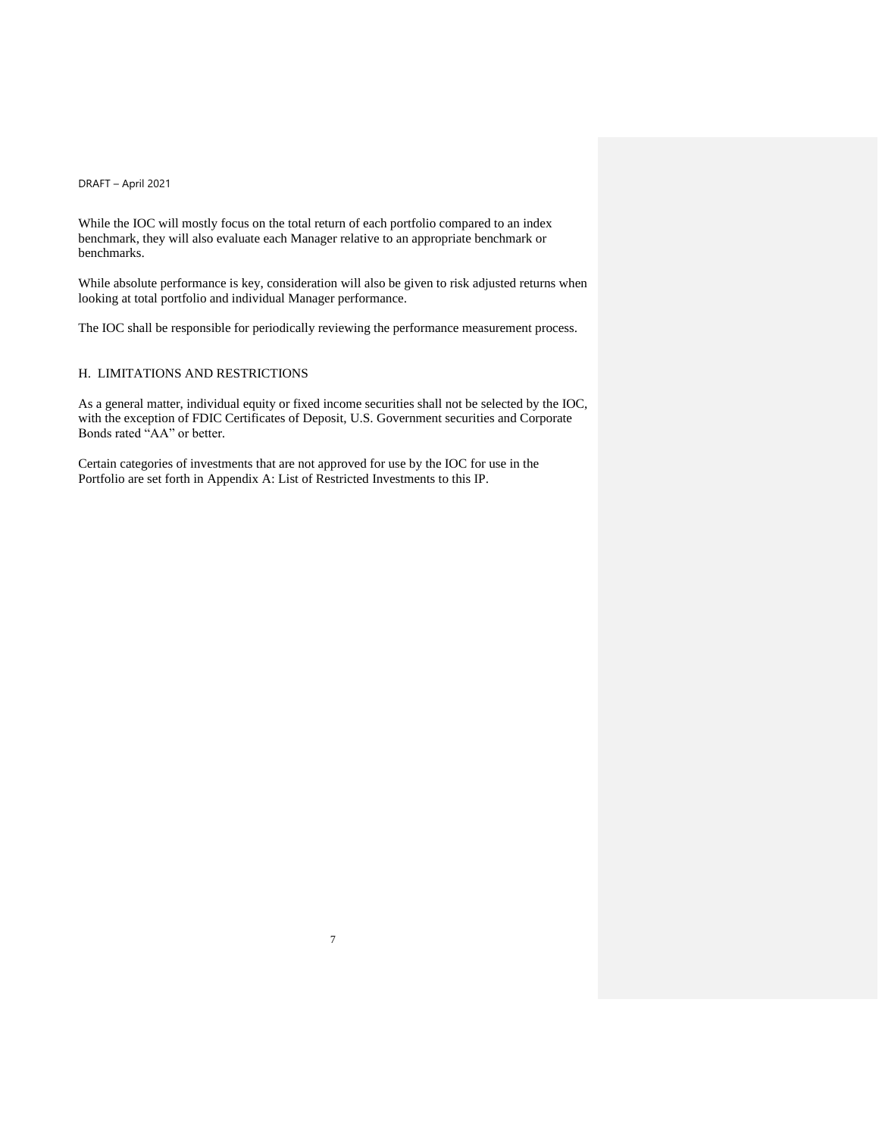While the IOC will mostly focus on the total return of each portfolio compared to an index benchmark, they will also evaluate each Manager relative to an appropriate benchmark or benchmarks.

While absolute performance is key, consideration will also be given to risk adjusted returns when looking at total portfolio and individual Manager performance.

The IOC shall be responsible for periodically reviewing the performance measurement process.

### H. LIMITATIONS AND RESTRICTIONS

As a general matter, individual equity or fixed income securities shall not be selected by the IOC, with the exception of FDIC Certificates of Deposit, U.S. Government securities and Corporate Bonds rated "AA" or better.

7

Certain categories of investments that are not approved for use by the IOC for use in the Portfolio are set forth in Appendix A: List of Restricted Investments to this IP.